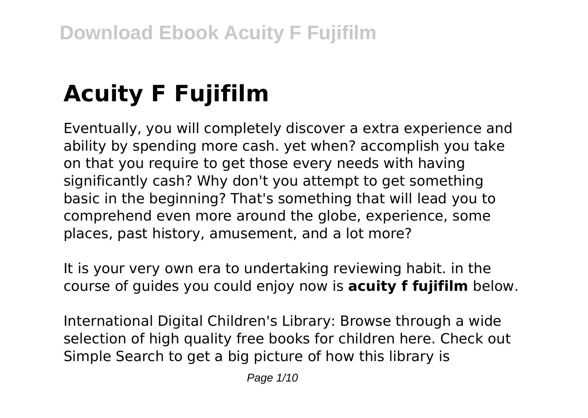# **Acuity F Fujifilm**

Eventually, you will completely discover a extra experience and ability by spending more cash. yet when? accomplish you take on that you require to get those every needs with having significantly cash? Why don't you attempt to get something basic in the beginning? That's something that will lead you to comprehend even more around the globe, experience, some places, past history, amusement, and a lot more?

It is your very own era to undertaking reviewing habit. in the course of guides you could enjoy now is **acuity f fujifilm** below.

International Digital Children's Library: Browse through a wide selection of high quality free books for children here. Check out Simple Search to get a big picture of how this library is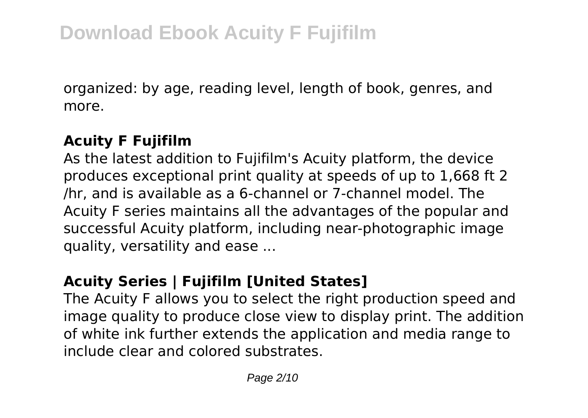organized: by age, reading level, length of book, genres, and more.

#### **Acuity F Fujifilm**

As the latest addition to Fujifilm's Acuity platform, the device produces exceptional print quality at speeds of up to 1,668 ft 2 /hr, and is available as a 6-channel or 7-channel model. The Acuity F series maintains all the advantages of the popular and successful Acuity platform, including near-photographic image quality, versatility and ease ...

### **Acuity Series | Fujifilm [United States]**

The Acuity F allows you to select the right production speed and image quality to produce close view to display print. The addition of white ink further extends the application and media range to include clear and colored substrates.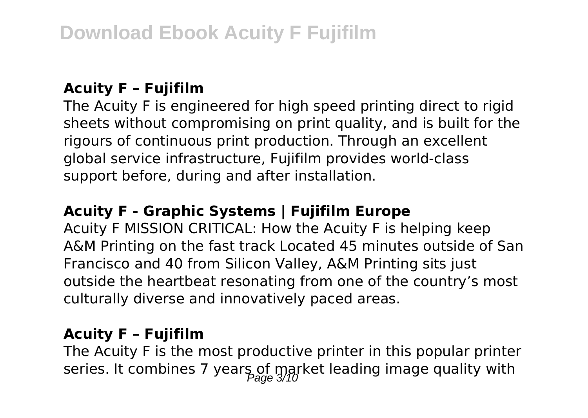#### **Acuity F – Fujifilm**

The Acuity F is engineered for high speed printing direct to rigid sheets without compromising on print quality, and is built for the rigours of continuous print production. Through an excellent global service infrastructure, Fujifilm provides world-class support before, during and after installation.

#### **Acuity F - Graphic Systems | Fujifilm Europe**

Acuity F MISSION CRITICAL: How the Acuity F is helping keep A&M Printing on the fast track Located 45 minutes outside of San Francisco and 40 from Silicon Valley, A&M Printing sits just outside the heartbeat resonating from one of the country's most culturally diverse and innovatively paced areas.

#### **Acuity F – Fujifilm**

The Acuity F is the most productive printer in this popular printer series. It combines 7 years of market leading image quality with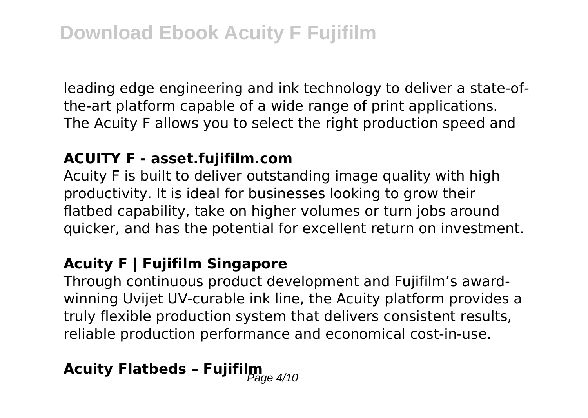leading edge engineering and ink technology to deliver a state-ofthe-art platform capable of a wide range of print applications. The Acuity F allows you to select the right production speed and

#### **ACUITY F - asset.fujifilm.com**

Acuity F is built to deliver outstanding image quality with high productivity. It is ideal for businesses looking to grow their flatbed capability, take on higher volumes or turn jobs around quicker, and has the potential for excellent return on investment.

#### **Acuity F | Fujifilm Singapore**

Through continuous product development and Fujifilm's awardwinning Uvijet UV-curable ink line, the Acuity platform provides a truly flexible production system that delivers consistent results, reliable production performance and economical cost-in-use.

# **Acuity Flatbeds - Fujifilm**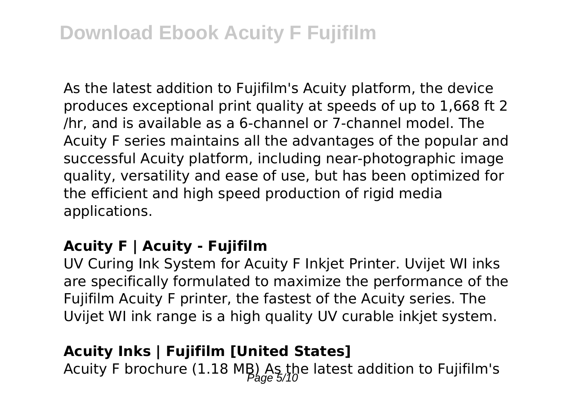## **Download Ebook Acuity F Fujifilm**

As the latest addition to Fujifilm's Acuity platform, the device produces exceptional print quality at speeds of up to 1,668 ft 2 /hr, and is available as a 6-channel or 7-channel model. The Acuity F series maintains all the advantages of the popular and successful Acuity platform, including near-photographic image quality, versatility and ease of use, but has been optimized for the efficient and high speed production of rigid media applications.

#### **Acuity F | Acuity - Fujifilm**

UV Curing Ink System for Acuity F Inkjet Printer. Uvijet WI inks are specifically formulated to maximize the performance of the Fujifilm Acuity F printer, the fastest of the Acuity series. The Uvijet WI ink range is a high quality UV curable inkjet system.

#### **Acuity Inks | Fujifilm [United States]**

Acuity F brochure (1.18 MB) As the latest addition to Fujifilm's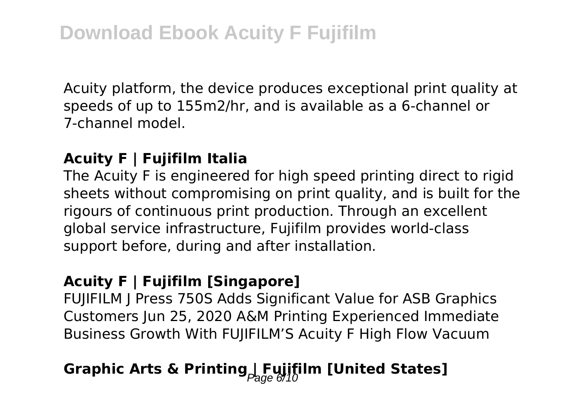Acuity platform, the device produces exceptional print quality at speeds of up to 155m2/hr, and is available as a 6-channel or 7-channel model.

#### **Acuity F | Fujifilm Italia**

The Acuity F is engineered for high speed printing direct to rigid sheets without compromising on print quality, and is built for the rigours of continuous print production. Through an excellent global service infrastructure, Fujifilm provides world-class support before, during and after installation.

#### **Acuity F | Fujifilm [Singapore]**

FUJIFILM J Press 750S Adds Significant Value for ASB Graphics Customers Jun 25, 2020 A&M Printing Experienced Immediate Business Growth With FUJIFILM'S Acuity F High Flow Vacuum

## Graphic Arts & Printing Fujifilm [United States]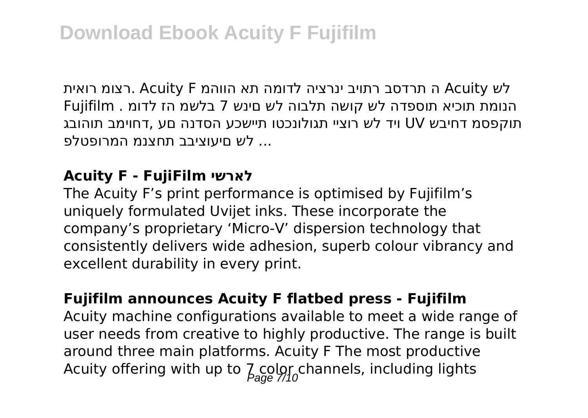לש Acuity ה תרדסב רתויב ינרציה לדומה תא הווהמ F Acuity .רצומ רואית הנומת תוכיא תוספדה לש קושה תלבוה לש םינש 7 בלשמ הז לדומ . Fujifilm תוקפסמ דחיבש UV ויד לש רוציי תגולונכטו תיישכע הסדנה םע ,דחוימב תוהובג ... לש םיעוציבב תחצנמ המרופטלפ

#### **Acuity F - FujiFilm לארשי**

The Acuity F's print performance is optimised by Fujifilm's uniquely formulated Uvijet inks. These incorporate the company's proprietary 'Micro-V' dispersion technology that consistently delivers wide adhesion, superb colour vibrancy and excellent durability in every print.

#### **Fujifilm announces Acuity F flatbed press - Fujifilm**

Acuity machine configurations available to meet a wide range of user needs from creative to highly productive. The range is built around three main platforms. Acuity F The most productive Acuity offering with up to  $\sum_{n=0}^{\infty}$  color channels, including lights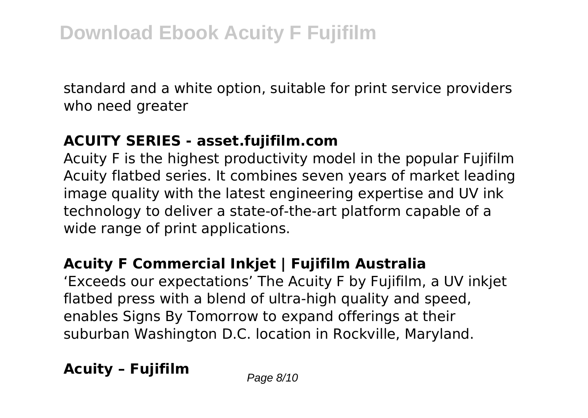standard and a white option, suitable for print service providers who need greater

#### **ACUITY SERIES - asset.fujifilm.com**

Acuity F is the highest productivity model in the popular Fujifilm Acuity flatbed series. It combines seven years of market leading image quality with the latest engineering expertise and UV ink technology to deliver a state-of-the-art platform capable of a wide range of print applications.

### **Acuity F Commercial Inkjet | Fujifilm Australia**

'Exceeds our expectations' The Acuity F by Fujifilm, a UV inkjet flatbed press with a blend of ultra-high quality and speed, enables Signs By Tomorrow to expand offerings at their suburban Washington D.C. location in Rockville, Maryland.

**Acuity - Fujifilm** Page 8/10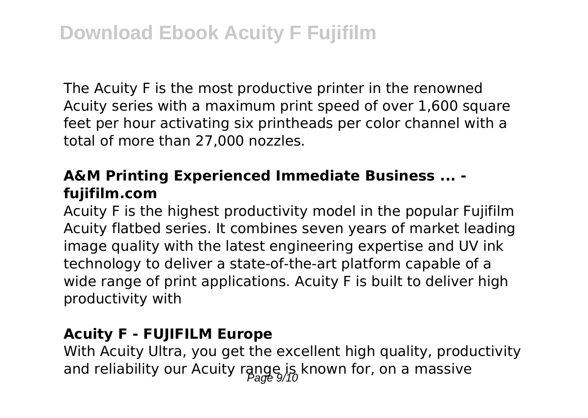The Acuity F is the most productive printer in the renowned Acuity series with a maximum print speed of over 1,600 square feet per hour activating six printheads per color channel with a total of more than 27,000 nozzles.

#### **A&M Printing Experienced Immediate Business ... fujifilm.com**

Acuity F is the highest productivity model in the popular Fujifilm Acuity flatbed series. It combines seven years of market leading image quality with the latest engineering expertise and UV ink technology to deliver a state-of-the-art platform capable of a wide range of print applications. Acuity F is built to deliver high productivity with

#### **Acuity F - FUJIFILM Europe**

With Acuity Ultra, you get the excellent high quality, productivity and reliability our Acuity range is known for, on a massive